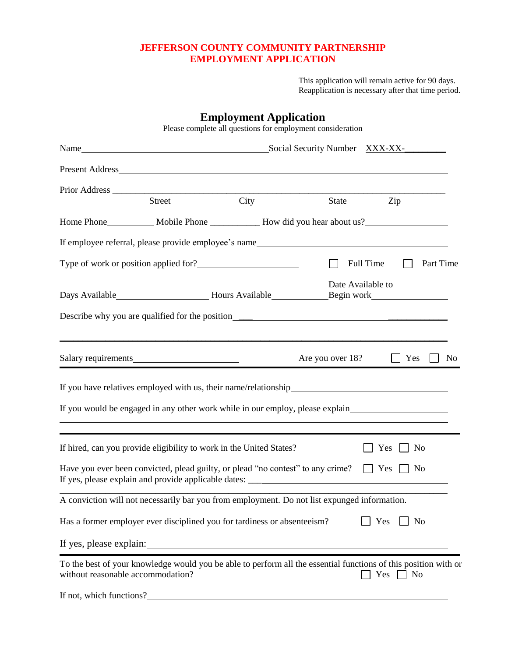## **JEFFERSON COUNTY COMMUNITY PARTNERSHIP EMPLOYMENT APPLICATION**

This application will remain active for 90 days. Reapplication is necessary after that time period.

|                                                                                                                                                                                                                                |                                                                                                                                                                          | <b>Employment Application</b><br>Please complete all questions for employment consideration |                  |                       |                |
|--------------------------------------------------------------------------------------------------------------------------------------------------------------------------------------------------------------------------------|--------------------------------------------------------------------------------------------------------------------------------------------------------------------------|---------------------------------------------------------------------------------------------|------------------|-----------------------|----------------|
|                                                                                                                                                                                                                                | Name Mame Mame Social Security Number XXX-XX- MAME MAME Social Security Number XXX-XX- MAME MAME Social Security Number XXX-XX- MAME Social Security Number XXX-XX- MAME |                                                                                             |                  |                       |                |
|                                                                                                                                                                                                                                |                                                                                                                                                                          |                                                                                             |                  |                       |                |
|                                                                                                                                                                                                                                | <b>Street</b>                                                                                                                                                            | City                                                                                        | State            | Zip                   |                |
|                                                                                                                                                                                                                                |                                                                                                                                                                          |                                                                                             |                  |                       |                |
| If employee referral, please provide employee's name_____________________________                                                                                                                                              |                                                                                                                                                                          |                                                                                             |                  |                       |                |
|                                                                                                                                                                                                                                |                                                                                                                                                                          |                                                                                             |                  | Full Time             | Part Time      |
| Days Available___________________________Hours Available___________________Begin work_________________________                                                                                                                 |                                                                                                                                                                          |                                                                                             |                  | Date Available to     |                |
| Describe why you are qualified for the position__________________________________                                                                                                                                              |                                                                                                                                                                          |                                                                                             |                  |                       |                |
| Salary requirements                                                                                                                                                                                                            |                                                                                                                                                                          |                                                                                             | Are you over 18? | Yes                   | N <sub>0</sub> |
|                                                                                                                                                                                                                                |                                                                                                                                                                          |                                                                                             |                  |                       |                |
| If you would be engaged in any other work while in our employ, please explain                                                                                                                                                  |                                                                                                                                                                          |                                                                                             |                  |                       |                |
|                                                                                                                                                                                                                                |                                                                                                                                                                          |                                                                                             |                  |                       |                |
| If hired, can you provide eligibility to work in the United States?<br>No<br>Yes                                                                                                                                               |                                                                                                                                                                          |                                                                                             |                  |                       |                |
| Have you ever been convicted, plead guilty, or plead "no contest" to any crime?<br>If yes, please explain and provide applicable dates: ___________________________                                                            |                                                                                                                                                                          |                                                                                             |                  | Yes<br>$\vert$   No   |                |
| A conviction will not necessarily bar you from employment. Do not list expunged information.                                                                                                                                   |                                                                                                                                                                          |                                                                                             |                  |                       |                |
| Has a former employer ever disciplined you for tardiness or absenteeism?<br>N <sub>0</sub><br>Yes                                                                                                                              |                                                                                                                                                                          |                                                                                             |                  |                       |                |
| If yes, please explain: 100 minutes of the state of the state of the state of the state of the state of the state of the state of the state of the state of the state of the state of the state of the state of the state of t |                                                                                                                                                                          |                                                                                             |                  |                       |                |
| To the best of your knowledge would you be able to perform all the essential functions of this position with or<br>without reasonable accommodation?                                                                           |                                                                                                                                                                          |                                                                                             |                  | Yes<br>N <sub>0</sub> |                |

If not, which functions?<br>
<u>If</u> not, which functions?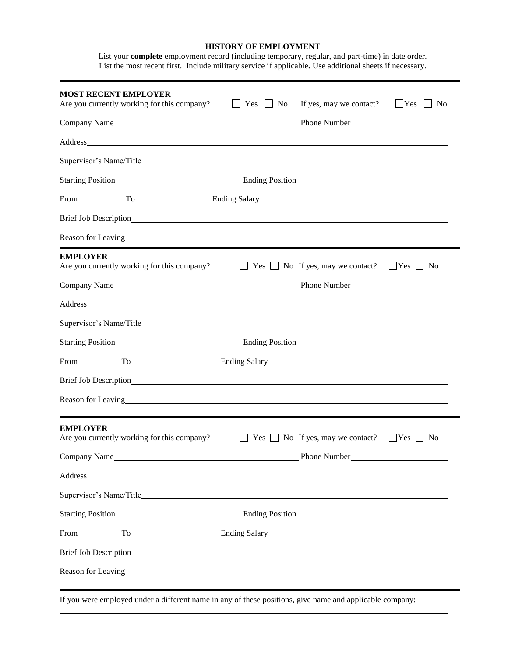#### **HISTORY OF EMPLOYMENT** List your **complete** employment record (including temporary, regular, and part-time) in date order.

List the most recent first. Include military service if applicable**.** Use additional sheets if necessary.

| <b>MOST RECENT EMPLOYER</b><br>If yes, may we contact?<br>$\Box$ Yes<br>Are you currently working for this company?<br>$\Box$ No<br>$\Box$ Yes $\Box$<br>No                                                                    |
|--------------------------------------------------------------------------------------------------------------------------------------------------------------------------------------------------------------------------------|
| Company Name<br>Phone Number<br><u>Letter</u> letter and the number                                                                                                                                                            |
|                                                                                                                                                                                                                                |
|                                                                                                                                                                                                                                |
|                                                                                                                                                                                                                                |
| $From$ $To$<br>Ending Salary<br><u>Ending Salary</u>                                                                                                                                                                           |
|                                                                                                                                                                                                                                |
| Reason for Leaving example and the set of the set of the set of the set of the set of the set of the set of the set of the set of the set of the set of the set of the set of the set of the set of the set of the set of the  |
| <b>EMPLOYER</b>                                                                                                                                                                                                                |
| $\Box$ Yes $\Box$ No If yes, may we contact? $\Box$ Yes $\Box$ No<br>Are you currently working for this company?                                                                                                               |
|                                                                                                                                                                                                                                |
|                                                                                                                                                                                                                                |
|                                                                                                                                                                                                                                |
|                                                                                                                                                                                                                                |
| From To To                                                                                                                                                                                                                     |
|                                                                                                                                                                                                                                |
| Reason for Leaving head and the state of the state of the state of the state of the state of the state of the state of the state of the state of the state of the state of the state of the state of the state of the state of |
|                                                                                                                                                                                                                                |
| <b>EMPLOYER</b><br>Are you currently working for this company?<br>$\Box$ Yes $\Box$ No If yes, may we contact?<br>$\Box$ Yes $\Box$ No                                                                                         |
|                                                                                                                                                                                                                                |
|                                                                                                                                                                                                                                |
|                                                                                                                                                                                                                                |
|                                                                                                                                                                                                                                |
| From To To<br>Ending Salary                                                                                                                                                                                                    |
|                                                                                                                                                                                                                                |
|                                                                                                                                                                                                                                |
|                                                                                                                                                                                                                                |

If you were employed under a different name in any of these positions, give name and applicable company: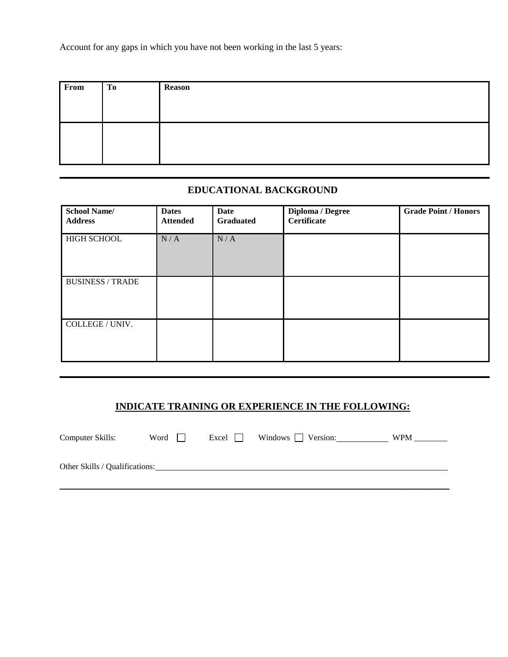Account for any gaps in which you have not been working in the last 5 years:

| From | To | Reason |
|------|----|--------|
|      |    |        |
|      |    |        |
|      |    |        |
|      |    |        |
|      |    |        |

# **EDUCATIONAL BACKGROUND**

| <b>School Name/</b><br><b>Address</b> | <b>Dates</b><br><b>Attended</b> | <b>Date</b><br><b>Graduated</b> | Diploma / Degree<br><b>Certificate</b> | <b>Grade Point / Honors</b> |
|---------------------------------------|---------------------------------|---------------------------------|----------------------------------------|-----------------------------|
| <b>HIGH SCHOOL</b>                    | N/A                             | N/A                             |                                        |                             |
| <b>BUSINESS / TRADE</b>               |                                 |                                 |                                        |                             |
| COLLEGE / UNIV.                       |                                 |                                 |                                        |                             |

# **INDICATE TRAINING OR EXPERIENCE IN THE FOLLOWING:**

| Computer Skills:               | Word | $\lvert$ Excel $\lvert$ $\lvert$ | Windows $\Box$ Version: | <b>WPM</b> |
|--------------------------------|------|----------------------------------|-------------------------|------------|
| Other Skills / Qualifications: |      |                                  |                         |            |

\_\_\_\_\_\_\_\_\_\_\_\_\_\_\_\_\_\_\_\_\_\_\_\_\_\_\_\_\_\_\_\_\_\_\_\_\_\_\_\_\_\_\_\_\_\_\_\_\_\_\_\_\_\_\_\_\_\_\_\_\_\_\_\_\_\_\_\_\_\_\_\_\_\_\_\_\_\_\_\_\_\_\_\_\_\_\_\_\_\_\_\_\_\_